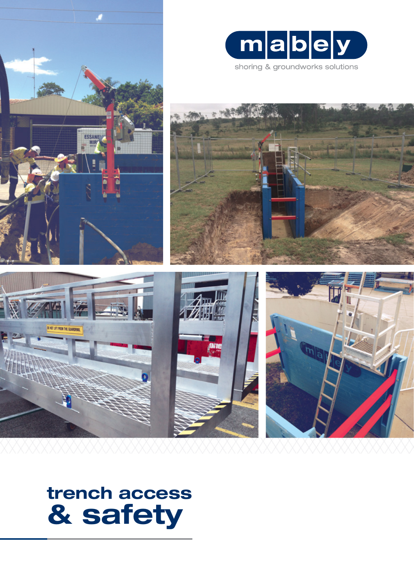



shoring & groundworks solutions









# **trench access & safety**